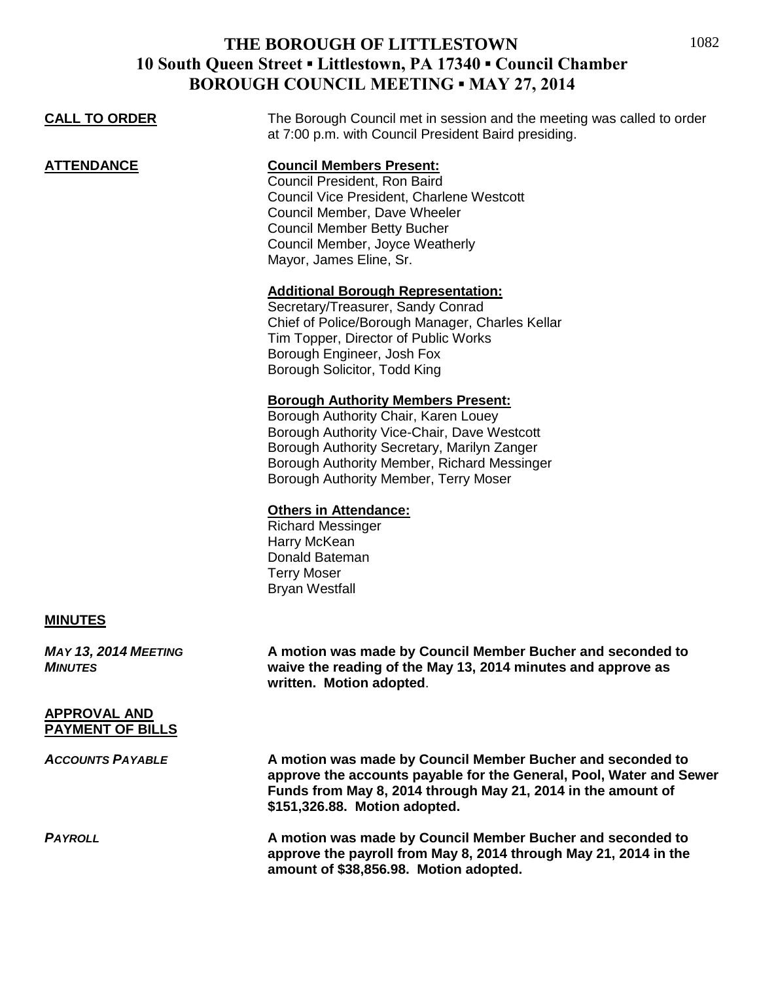## **THE BOROUGH OF LITTLESTOWN 10 South Queen Street ▪ Littlestown, PA 17340 ▪ Council Chamber BOROUGH COUNCIL MEETING . MAV 27, 2014**

| DONOUGH COUNCIL MEETHNG - MAT 27, 2014         |                                                                                                                                                                                                                                                                                                                                    |
|------------------------------------------------|------------------------------------------------------------------------------------------------------------------------------------------------------------------------------------------------------------------------------------------------------------------------------------------------------------------------------------|
| <b>CALL TO ORDER</b>                           | The Borough Council met in session and the meeting was called to order<br>at 7:00 p.m. with Council President Baird presiding.                                                                                                                                                                                                     |
| <b>ATTENDANCE</b>                              | <b>Council Members Present:</b><br>Council President, Ron Baird<br>Council Vice President, Charlene Westcott<br>Council Member, Dave Wheeler<br><b>Council Member Betty Bucher</b><br>Council Member, Joyce Weatherly<br>Mayor, James Eline, Sr.<br><b>Additional Borough Representation:</b><br>Secretary/Treasurer, Sandy Conrad |
|                                                | Chief of Police/Borough Manager, Charles Kellar<br>Tim Topper, Director of Public Works<br>Borough Engineer, Josh Fox<br>Borough Solicitor, Todd King                                                                                                                                                                              |
|                                                | <b>Borough Authority Members Present:</b><br>Borough Authority Chair, Karen Louey<br>Borough Authority Vice-Chair, Dave Westcott<br>Borough Authority Secretary, Marilyn Zanger<br>Borough Authority Member, Richard Messinger<br>Borough Authority Member, Terry Moser                                                            |
|                                                | <b>Others in Attendance:</b><br><b>Richard Messinger</b><br>Harry McKean<br>Donald Bateman<br><b>Terry Moser</b><br><b>Bryan Westfall</b>                                                                                                                                                                                          |
| <b>MINUTES</b>                                 |                                                                                                                                                                                                                                                                                                                                    |
| <b>MAY 13, 2014 MEETING</b><br><b>MINUTES</b>  | A motion was made by Council Member Bucher and seconded to<br>waive the reading of the May 13, 2014 minutes and approve as<br>written. Motion adopted.                                                                                                                                                                             |
| <b>APPROVAL AND</b><br><b>PAYMENT OF BILLS</b> |                                                                                                                                                                                                                                                                                                                                    |
| <b>ACCOUNTS PAYABLE</b>                        | A motion was made by Council Member Bucher and seconded to<br>approve the accounts payable for the General, Pool, Water and Sewer<br>Funds from May 8, 2014 through May 21, 2014 in the amount of<br>\$151,326.88. Motion adopted.                                                                                                 |

*PAYROLL* **A motion was made by Council Member Bucher and seconded to approve the payroll from May 8, 2014 through May 21, 2014 in the amount of \$38,856.98. Motion adopted.**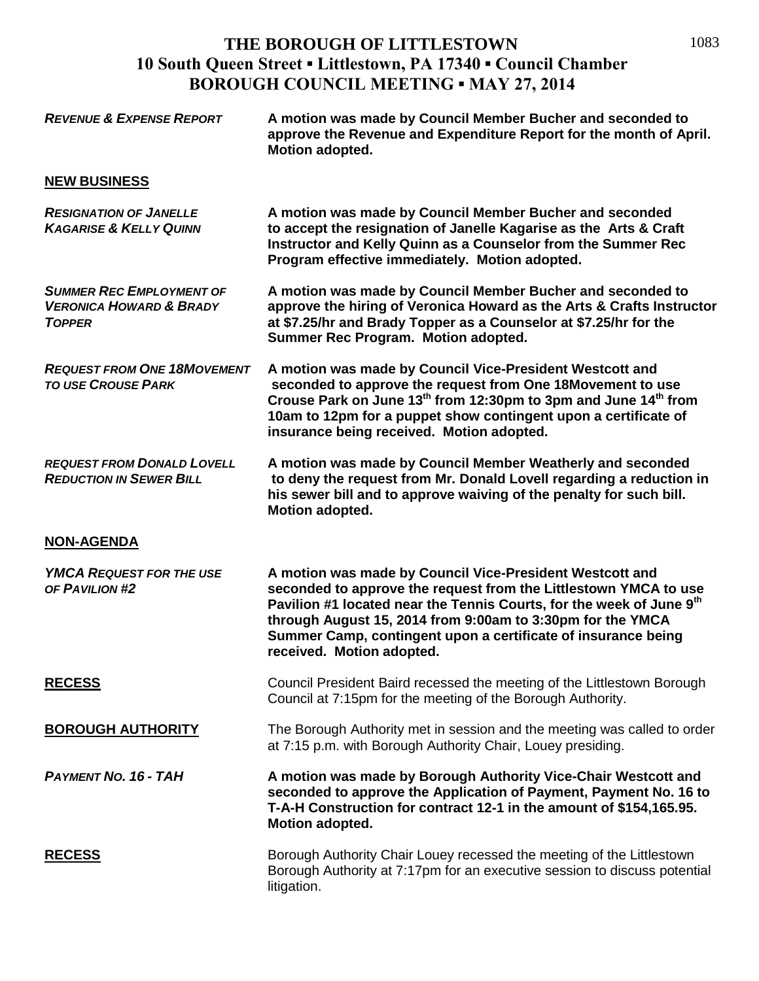## **THE BOROUGH OF LITTLESTOWN 10 South Queen Street ▪ Littlestown, PA 17340 ▪ Council Chamber BOROUGH COUNCIL MEETING ▪ MAY 27, 2014**

| <b>REVENUE &amp; EXPENSE REPORT</b>                                                    | A motion was made by Council Member Bucher and seconded to<br>approve the Revenue and Expenditure Report for the month of April.<br>Motion adopted.                                                                                                                                                                                                                          |
|----------------------------------------------------------------------------------------|------------------------------------------------------------------------------------------------------------------------------------------------------------------------------------------------------------------------------------------------------------------------------------------------------------------------------------------------------------------------------|
| <b>NEW BUSINESS</b>                                                                    |                                                                                                                                                                                                                                                                                                                                                                              |
| <b>RESIGNATION OF JANELLE</b><br><b>KAGARISE &amp; KELLY QUINN</b>                     | A motion was made by Council Member Bucher and seconded<br>to accept the resignation of Janelle Kagarise as the Arts & Craft<br>Instructor and Kelly Quinn as a Counselor from the Summer Rec<br>Program effective immediately. Motion adopted.                                                                                                                              |
| <b>SUMMER REC EMPLOYMENT OF</b><br><b>VERONICA HOWARD &amp; BRADY</b><br><b>TOPPER</b> | A motion was made by Council Member Bucher and seconded to<br>approve the hiring of Veronica Howard as the Arts & Crafts Instructor<br>at \$7.25/hr and Brady Topper as a Counselor at \$7.25/hr for the<br>Summer Rec Program. Motion adopted.                                                                                                                              |
| <b>REQUEST FROM ONE 18MOVEMENT</b><br><b>TO USE CROUSE PARK</b>                        | A motion was made by Council Vice-President Westcott and<br>seconded to approve the request from One 18Movement to use<br>Crouse Park on June 13 <sup>th</sup> from 12:30pm to 3pm and June 14 <sup>th</sup> from<br>10am to 12pm for a puppet show contingent upon a certificate of<br>insurance being received. Motion adopted.                                            |
| <b>REQUEST FROM DONALD LOVELL</b><br><b>REDUCTION IN SEWER BILL</b>                    | A motion was made by Council Member Weatherly and seconded<br>to deny the request from Mr. Donald Lovell regarding a reduction in<br>his sewer bill and to approve waiving of the penalty for such bill.<br>Motion adopted.                                                                                                                                                  |
| <b>NON-AGENDA</b>                                                                      |                                                                                                                                                                                                                                                                                                                                                                              |
| <b>YMCA REQUEST FOR THE USE</b><br>OF PAVILION #2                                      | A motion was made by Council Vice-President Westcott and<br>seconded to approve the request from the Littlestown YMCA to use<br>Pavilion #1 located near the Tennis Courts, for the week of June 9 <sup>th</sup><br>through August 15, 2014 from 9:00am to 3:30pm for the YMCA<br>Summer Camp, contingent upon a certificate of insurance being<br>received. Motion adopted. |
| <b>RECESS</b>                                                                          | Council President Baird recessed the meeting of the Littlestown Borough<br>Council at 7:15pm for the meeting of the Borough Authority.                                                                                                                                                                                                                                       |
| <b>BOROUGH AUTHORITY</b>                                                               | The Borough Authority met in session and the meeting was called to order<br>at 7:15 p.m. with Borough Authority Chair, Louey presiding.                                                                                                                                                                                                                                      |
| <b>PAYMENT NO. 16 - TAH</b>                                                            | A motion was made by Borough Authority Vice-Chair Westcott and<br>seconded to approve the Application of Payment, Payment No. 16 to<br>T-A-H Construction for contract 12-1 in the amount of \$154,165.95.<br>Motion adopted.                                                                                                                                                |
| <b>RECESS</b>                                                                          | Borough Authority Chair Louey recessed the meeting of the Littlestown<br>Borough Authority at 7:17pm for an executive session to discuss potential<br>litigation.                                                                                                                                                                                                            |